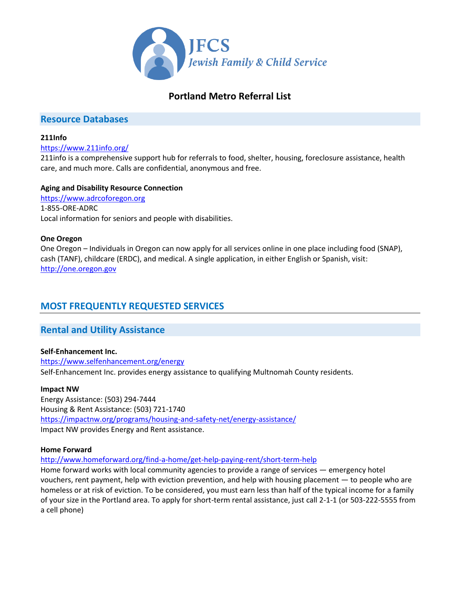

# **Portland Metro Referral List**

## **Resource Databases**

## **211Info**

## <https://www.211info.org/>

211info is a comprehensive support hub for referrals to food, shelter, housing, foreclosure assistance, health care, and much more. Calls are confidential, anonymous and free.

## **Aging and Disability Resource Connection**

[https://www.adrcoforegon.org](https://www.adrcoforegon.org/) 1-855-ORE-ADRC Local information for seniors and people with disabilities.

## **One Oregon**

One Oregon – Individuals in Oregon can now apply for all services online in one place including food (SNAP), cash (TANF), childcare (ERDC), and medical. A single application, in either English or Spanish, visit: [http://one.oregon.gov](http://one.oregon.gov/)

# **MOST FREQUENTLY REQUESTED SERVICES**

## **Rental and Utility Assistance**

## **Self-Enhancement Inc.**

<https://www.selfenhancement.org/energy> Self-Enhancement Inc. provides energy assistance to qualifying Multnomah County residents.

## **Impact NW**

Energy Assistance: (503) 294-7444 Housing & Rent Assistance: (503) 721-1740 <https://impactnw.org/programs/housing-and-safety-net/energy-assistance/> Impact NW provides Energy and Rent assistance.

## **Home Forward**

<http://www.homeforward.org/find-a-home/get-help-paying-rent/short-term-help>

Home forward works with local community agencies to provide a range of services — emergency hotel vouchers, rent payment, help with eviction prevention, and help with housing placement — to people who are homeless or at risk of eviction. To be considered, you must earn less than half of the typical income for a family of your size in the Portland area. To apply for short-term rental assistance, just call 2-1-1 (or 503-222-5555 from a cell phone)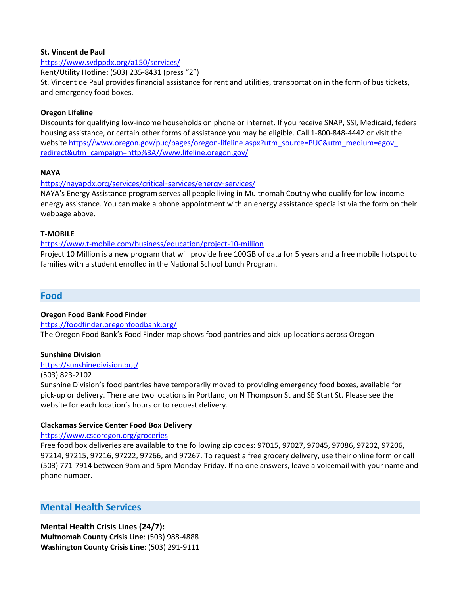#### **St. Vincent de Paul**

<https://www.svdppdx.org/a150/services/>

Rent/Utility Hotline: (503) 235-8431 (press "2")

St. Vincent de Paul provides financial assistance for rent and utilities, transportation in the form of bus tickets, and emergency food boxes.

### **Oregon Lifeline**

Discounts for qualifying low-income households on phone or internet. If you receive SNAP, SSI, Medicaid, federal housing assistance, or certain other forms of assistance you may be eligible. Call 1-800-848-4442 or visit the website https://www.oregon.gov/puc/pages/oregon-lifeline.aspx?utm\_source=PUC&utm\_medium=egov\_ [redirect&utm\\_campaign=http%3A//www.lifeline.oregon.gov/](https://www.oregon.gov/puc/pages/oregon-lifeline.aspx?utm_source=PUC&utm_medium=egov_%20redirect&utm_campaign=http%3A//www.lifeline.oregon.gov/)

## **NAYA**

<https://nayapdx.org/services/critical-services/energy-services/>

NAYA's Energy Assistance program serves all people living in Multnomah Coutny who qualify for low-income energy assistance. You can make a phone appointment with an energy assistance specialist via the form on their webpage above.

#### **T-MOBILE**

#### <https://www.t-mobile.com/business/education/project-10-million>

Project 10 Million is a new program that will provide free 100GB of data for 5 years and a free mobile hotspot to families with a student enrolled in the National School Lunch Program.

## **Food**

## **Oregon Food Bank Food Finder**

<https://foodfinder.oregonfoodbank.org/>

The Oregon Food Bank's Food Finder map shows food pantries and pick-up locations across Oregon

## **Sunshine Division**

#### <https://sunshinedivision.org/>

(503) 823-2102

Sunshine Division's food pantries have temporarily moved to providing emergency food boxes, available for pick-up or delivery. There are two locations in Portland, on N Thompson St and SE Start St. Please see the website for each location's hours or to request delivery.

## **Clackamas Service Center Food Box Delivery**

<https://www.cscoregon.org/groceries>

Free food box deliveries are available to the following zip codes: 97015, 97027, 97045, 97086, 97202, 97206, 97214, 97215, 97216, 97222, 97266, and 97267. To request a free grocery delivery, use their online form or call (503) 771-7914 between 9am and 5pm Monday-Friday. If no one answers, leave a voicemail with your name and phone number.

## **Mental Health Services**

## **Mental Health Crisis Lines (24/7):**

**Multnomah County Crisis Line**: (503) 988-4888 **Washington County Crisis Line**: (503) 291-9111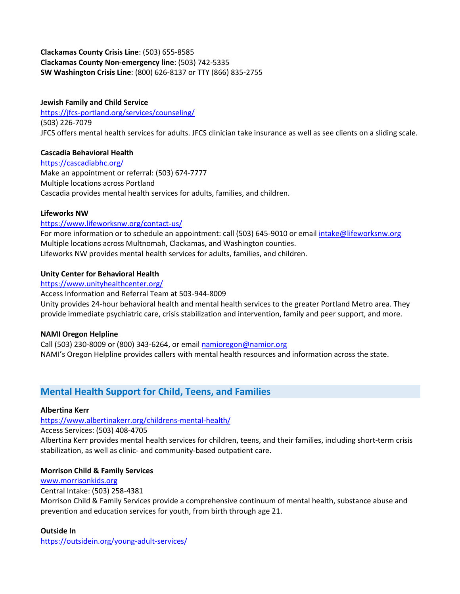## **Clackamas County Crisis Line**: (503) 655-8585 **Clackamas County Non-emergency line**: (503) 742-5335 **SW Washington Crisis Line**: (800) 626-8137 or TTY (866) 835-2755

## **Jewish Family and Child Service**

<https://jfcs-portland.org/services/counseling/> (503) 226-7079 JFCS offers mental health services for adults. JFCS clinician take insurance as well as see clients on a sliding scale.

## **Cascadia Behavioral Health**

<https://cascadiabhc.org/> Make an appointment or referral: (503) 674-7777 Multiple locations across Portland Cascadia provides mental health services for adults, families, and children.

## **Lifeworks NW**

## <https://www.lifeworksnw.org/contact-us/>

For more information or to schedule an appointment: call (503) 645-9010 or email [intake@lifeworksnw.org](mailto:intake@lifeworksnw.org) Multiple locations across Multnomah, Clackamas, and Washington counties. Lifeworks NW provides mental health services for adults, families, and children.

## **Unity Center for Behavioral Health**

#### <https://www.unityhealthcenter.org/>

Access Information and Referral Team at 503-944-8009 Unity provides 24-hour behavioral health and mental health services to the greater Portland Metro area. They provide immediate psychiatric care, crisis stabilization and intervention, family and peer support, and more.

## **NAMI Oregon Helpline**

Call (503) 230-8009 or (800) 343-6264, or email [namioregon@namior.org](mailto:namioregon@namior.org) NAMI's Oregon Helpline provides callers with mental health resources and information across the state.

# **Mental Health Support for Child, Teens, and Families**

## **Albertina Kerr**

## <https://www.albertinakerr.org/childrens-mental-health/>

Access Services: (503) 408-4705

Albertina Kerr provides mental health services for children, teens, and their families, including short-term crisis stabilization, as well as clinic- and community-based outpatient care.

## **Morrison Child & Family Services**

## [www.morrisonkids.org](http://www.morrisonkids.org/)

## Central Intake: (503) 258-4381

Morrison Child & Family Services provide a comprehensive continuum of mental health, substance abuse and prevention and education services for youth, from birth through age 21.

## **Outside In**

<https://outsidein.org/young-adult-services/>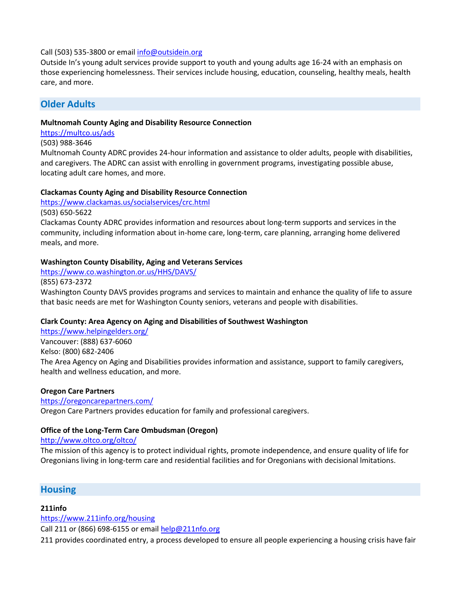## Call (503) 535-3800 or emai[l info@outsidein.org](mailto:info@outsidein.org)

Outside In's young adult services provide support to youth and young adults age 16-24 with an emphasis on those experiencing homelessness. Their services include housing, education, counseling, healthy meals, health care, and more.

## **Older Adults**

### **Multnomah County Aging and Disability Resource Connection**

#### <https://multco.us/ads>

### (503) 988-3646

Multnomah County ADRC provides 24-hour information and assistance to older adults, people with disabilities, and caregivers. The ADRC can assist with enrolling in government programs, investigating possible abuse, locating adult care homes, and more.

#### **Clackamas County Aging and Disability Resource Connection**

<https://www.clackamas.us/socialservices/crc.html>

(503) 650-5622

Clackamas County ADRC provides information and resources about long-term supports and services in the community, including information about in-home care, long-term, care planning, arranging home delivered meals, and more.

#### **Washington County Disability, Aging and Veterans Services**

<https://www.co.washington.or.us/HHS/DAVS/> (855) 673-2372

Washington County DAVS provides programs and services to maintain and enhance the quality of life to assure that basic needs are met for Washington County seniors, veterans and people with disabilities.

## **Clark County: Area Agency on Aging and Disabilities of Southwest Washington**

<https://www.helpingelders.org/> Vancouver: (888) 637-6060 Kelso: (800) 682-2406 The Area Agency on Aging and Disabilities provides information and assistance, support to family caregivers, health and wellness education, and more.

## **Oregon Care Partners**

#### <https://oregoncarepartners.com/>

Oregon Care Partners provides education for family and professional caregivers.

## **Office of the Long-Term Care Ombudsman (Oregon)**

<http://www.oltco.org/oltco/>

The mission of this agency is to protect individual rights, promote independence, and ensure quality of life for Oregonians living in long-term care and residential facilities and for Oregonians with decisional lmitations.

## **Housing**

## **211info**

<https://www.211info.org/housing>

Call 211 or (866) 698-6155 or email [help@211nfo.org](mailto:help@211nfo.org)

211 provides coordinated entry, a process developed to ensure all people experiencing a housing crisis have fair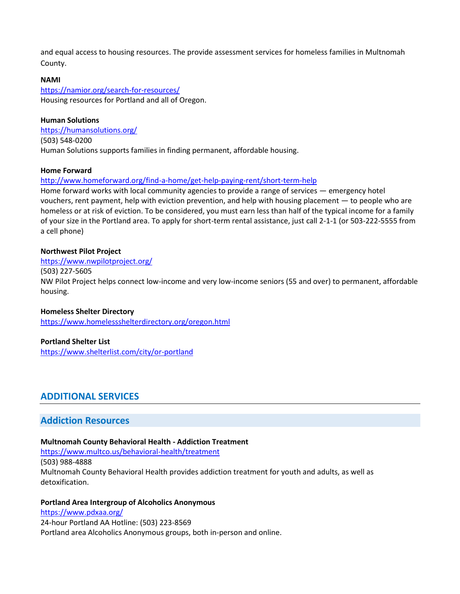and equal access to housing resources. The provide assessment services for homeless families in Multnomah County.

## **NAMI**

<https://namior.org/search-for-resources/> Housing resources for Portland and all of Oregon.

**Human Solutions** <https://humansolutions.org/> (503) 548-0200 Human Solutions supports families in finding permanent, affordable housing.

## **Home Forward**

<http://www.homeforward.org/find-a-home/get-help-paying-rent/short-term-help>

Home forward works with local community agencies to provide a range of services — emergency hotel vouchers, rent payment, help with eviction prevention, and help with housing placement — to people who are homeless or at risk of eviction. To be considered, you must earn less than half of the typical income for a family of your size in the Portland area. To apply for short-term rental assistance, just call 2-1-1 (or 503-222-5555 from a cell phone)

## **Northwest Pilot Project**

#### <https://www.nwpilotproject.org/>

(503) 227-5605

NW Pilot Project helps connect low-income and very low-income seniors (55 and over) to permanent, affordable housing.

## **Homeless Shelter Directory**

<https://www.homelessshelterdirectory.org/oregon.html>

## **Portland Shelter List**

<https://www.shelterlist.com/city/or-portland>

## **ADDITIONAL SERVICES**

## **Addiction Resources**

## **Multnomah County Behavioral Health - Addiction Treatment**

<https://www.multco.us/behavioral-health/treatment> (503) 988-4888 Multnomah County Behavioral Health provides addiction treatment for youth and adults, as well as detoxification.

## **Portland Area Intergroup of Alcoholics Anonymous**

<https://www.pdxaa.org/> 24-hour Portland AA Hotline: (503) 223-8569 Portland area Alcoholics Anonymous groups, both in-person and online.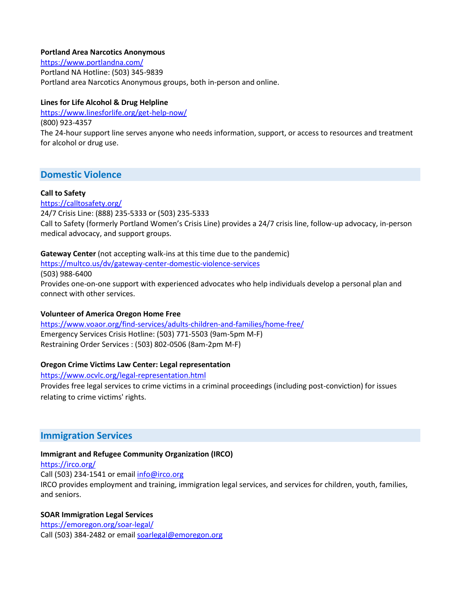#### **Portland Area Narcotics Anonymous**

<https://www.portlandna.com/> Portland NA Hotline: (503) 345-9839 Portland area Narcotics Anonymous groups, both in-person and online.

## **Lines for Life Alcohol & Drug Helpline**

<https://www.linesforlife.org/get-help-now/>

(800) 923-4357

The 24-hour support line serves anyone who needs information, support, or access to resources and treatment for alcohol or drug use.

## **Domestic Violence**

## **Call to Safety**

<https://calltosafety.org/> 24/7 Crisis Line: (888) 235-5333 or (503) 235-5333 Call to Safety (formerly Portland Women's Crisis Line) provides a 24/7 crisis line, follow-up advocacy, in-person medical advocacy, and support groups.

## **Gateway Center** (not accepting walk-ins at this time due to the pandemic)

<https://multco.us/dv/gateway-center-domestic-violence-services>

(503) 988-6400

Provides one-on-one support with experienced advocates who help individuals develop a personal plan and connect with other services.

## **Volunteer of America Oregon Home Free**

<https://www.voaor.org/find-services/adults-children-and-families/home-free/> Emergency Services Crisis Hotline: (503) 771-5503 (9am-5pm M-F) Restraining Order Services : (503) 802-0506 (8am-2pm M-F)

## **Oregon Crime Victims Law Center: Legal representation**

<https://www.ocvlc.org/legal-representation.html>

Provides free legal services to crime victims in a criminal proceedings (including post-conviction) for issues relating to crime victims' rights.

## **Immigration Services**

## **Immigrant and Refugee Community Organization (IRCO)**

<https://irco.org/>

Call (503) 234-1541 or emai[l info@irco.org](mailto:info@irco.org)

IRCO provides employment and training, immigration legal services, and services for children, youth, families, and seniors.

## **SOAR Immigration Legal Services**

<https://emoregon.org/soar-legal/> Call (503) 384-2482 or emai[l soarlegal@emoregon.org](mailto:soarlegal@emoregon.org)